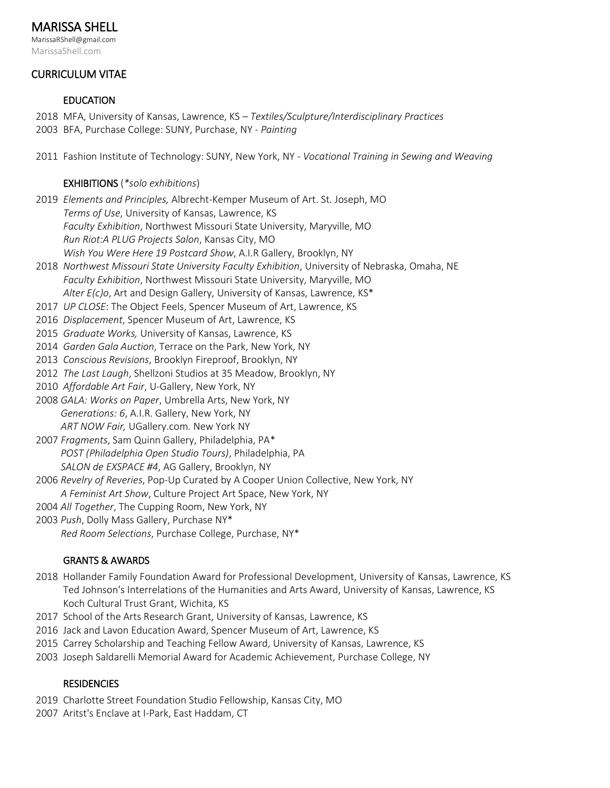# MARISSA SHELL

MarissaRShell@gmail.com MarissaShell.com

# CURRICULUM VITAE

# EDUCATION

- 2018 MFA, University of Kansas, Lawrence, KS *Textiles/Sculpture/Interdisciplinary Practices*
- 2003 BFA, Purchase College: SUNY, Purchase, NY *Painting*
- 2011 Fashion Institute of Technology: SUNY, New York, NY *Vocational Training in Sewing and Weaving*

#### EXHIBITIONS (*\*solo exhibitions*)

- 2019 *Elements and Principles,* Albrecht-Kemper Museum of Art. St. Joseph, MO *Terms of Use*, University of Kansas, Lawrence, KS *Faculty Exhibition*, Northwest Missouri State University, Maryville, MO *Run Riot:A PLUG Projects Salon*, Kansas City, MO  *Wish You Were Here 19 Postcard Show*, A.I.R Gallery, Brooklyn, NY
- 2018 *Northwest Missouri State University Faculty Exhibition*, University of Nebraska, Omaha, NE *Faculty Exhibition*, Northwest Missouri State University, Maryville, MO  *Alter E(c)o*, Art and Design Gallery, University of Kansas, Lawrence, KS\*
- 2017 *UP CLOSE*: The Object Feels, Spencer Museum of Art, Lawrence, KS
- 2016 *Displacement*, Spencer Museum of Art, Lawrence, KS
- 2015 *Graduate Works,* University of Kansas, Lawrence, KS
- 2014 *Garden Gala Auction*, Terrace on the Park, New York, NY
- 2013 *Conscious Revisions*, Brooklyn Fireproof, Brooklyn, NY
- 2012 *The Last Laugh*, Shellzoni Studios at 35 Meadow, Brooklyn, NY
- 2010 *Affordable Art Fair*, U-Gallery, New York, NY
- 2008 *GALA: Works on Paper*, Umbrella Arts, New York, NY  *Generations: 6*, A.I.R. Gallery, New York, NY *ART NOW Fair,* UGallery.com*.* New York NY
- 2007 *Fragments*, Sam Quinn Gallery, Philadelphia, PA\* *POST (Philadelphia Open Studio Tours)*, Philadelphia, PA *SALON de EXSPACE #4*, AG Gallery, Brooklyn, NY
- 2006 *Revelry of Reveries*, Pop-Up Curated by A Cooper Union Collective, New York, NY
	- *A Feminist Art Show*, Culture Project Art Space, New York, NY
- 2004 *All Together*, The Cupping Room, New York, NY
- 2003 *Push*, Dolly Mass Gallery, Purchase NY\*

*Red Room Selections*, Purchase College, Purchase, NY\*

# GRANTS & AWARDS

- 2018 Hollander Family Foundation Award for Professional Development, University of Kansas, Lawrence, KS Ted Johnson's Interrelations of the Humanities and Arts Award, University of Kansas, Lawrence, KS Koch Cultural Trust Grant, Wichita, KS
- 2017 School of the Arts Research Grant, University of Kansas, Lawrence, KS
- 2016 Jack and Lavon Education Award, Spencer Museum of Art, Lawrence, KS
- 2015 Carrey Scholarship and Teaching Fellow Award, University of Kansas, Lawrence, KS
- 2003 Joseph Saldarelli Memorial Award for Academic Achievement, Purchase College, NY

# **RESIDENCIES**

- 2019 Charlotte Street Foundation Studio Fellowship, Kansas City, MO
- 2007 Aritst's Enclave at I-Park, East Haddam, CT